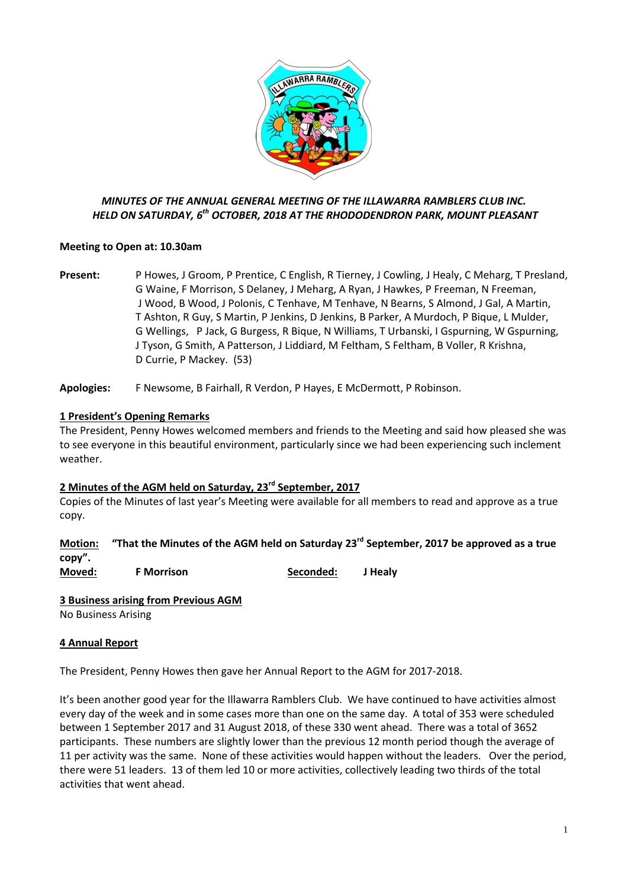

## *MINUTES OF THE ANNUAL GENERAL MEETING OF THE ILLAWARRA RAMBLERS CLUB INC. HELD ON SATURDAY, 6 th OCTOBER, 2018 AT THE RHODODENDRON PARK, MOUNT PLEASANT*

### **Meeting to Open at: 10.30am**

**Present:** P Howes, J Groom, P Prentice, C English, R Tierney, J Cowling, J Healy, C Meharg, T Presland, G Waine, F Morrison, S Delaney, J Meharg, A Ryan, J Hawkes, P Freeman, N Freeman, J Wood, B Wood, J Polonis, C Tenhave, M Tenhave, N Bearns, S Almond, J Gal, A Martin, T Ashton, R Guy, S Martin, P Jenkins, D Jenkins, B Parker, A Murdoch, P Bique, L Mulder, G Wellings, P Jack, G Burgess, R Bique, N Williams, T Urbanski, I Gspurning, W Gspurning, J Tyson, G Smith, A Patterson, J Liddiard, M Feltham, S Feltham, B Voller, R Krishna, D Currie, P Mackey. (53)

**Apologies:** F Newsome, B Fairhall, R Verdon, P Hayes, E McDermott, P Robinson.

### **1 President's Opening Remarks**

The President, Penny Howes welcomed members and friends to the Meeting and said how pleased she was to see everyone in this beautiful environment, particularly since we had been experiencing such inclement weather.

#### **2 Minutes of the AGM held on Saturday, 23rd September, 2017**

Copies of the Minutes of last year's Meeting were available for all members to read and approve as a true copy.

# **Motion: "That the Minutes of the AGM held on Saturday 23rd September, 2017 be approved as a true copy".**

**Moved: F Morrison Seconded: J Healy**

#### **3 Business arising from Previous AGM**

No Business Arising

#### **4 Annual Report**

The President, Penny Howes then gave her Annual Report to the AGM for 2017-2018.

It's been another good year for the Illawarra Ramblers Club. We have continued to have activities almost every day of the week and in some cases more than one on the same day. A total of 353 were scheduled between 1 September 2017 and 31 August 2018, of these 330 went ahead. There was a total of 3652 participants. These numbers are slightly lower than the previous 12 month period though the average of 11 per activity was the same. None of these activities would happen without the leaders. Over the period, there were 51 leaders. 13 of them led 10 or more activities, collectively leading two thirds of the total activities that went ahead.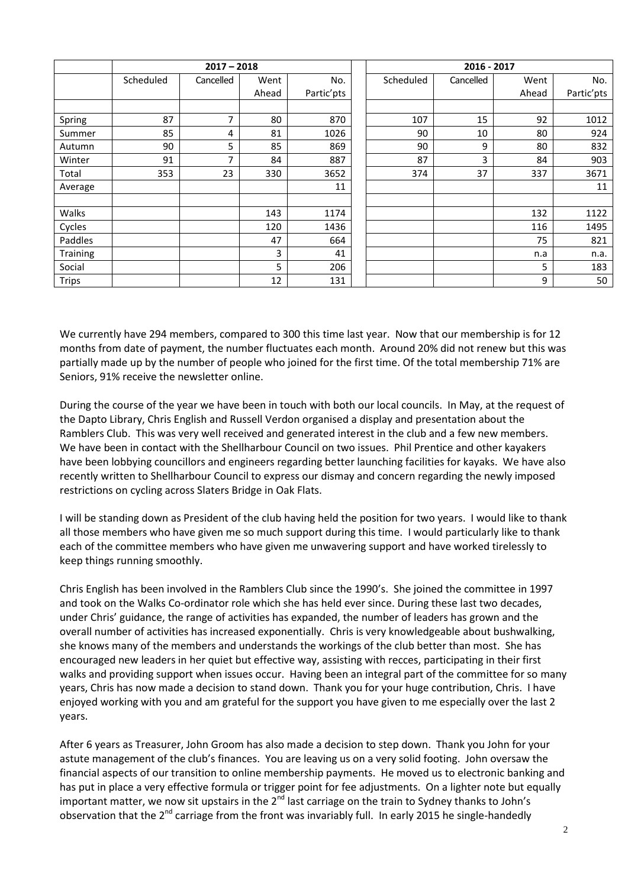|              | $2017 - 2018$ |                |       |            |  | 2016 - 2017 |           |       |            |
|--------------|---------------|----------------|-------|------------|--|-------------|-----------|-------|------------|
|              | Scheduled     | Cancelled      | Went  | No.        |  | Scheduled   | Cancelled | Went  | No.        |
|              |               |                | Ahead | Partic'pts |  |             |           | Ahead | Partic'pts |
|              |               |                |       |            |  |             |           |       |            |
| Spring       | 87            | $\overline{7}$ | 80    | 870        |  | 107         | 15        | 92    | 1012       |
| Summer       | 85            | 4              | 81    | 1026       |  | 90          | 10        | 80    | 924        |
| Autumn       | 90            | 5              | 85    | 869        |  | 90          | 9         | 80    | 832        |
| Winter       | 91            | ⇁              | 84    | 887        |  | 87          | 3         | 84    | 903        |
| Total        | 353           | 23             | 330   | 3652       |  | 374         | 37        | 337   | 3671       |
| Average      |               |                |       | 11         |  |             |           |       | 11         |
|              |               |                |       |            |  |             |           |       |            |
| Walks        |               |                | 143   | 1174       |  |             |           | 132   | 1122       |
| Cycles       |               |                | 120   | 1436       |  |             |           | 116   | 1495       |
| Paddles      |               |                | 47    | 664        |  |             |           | 75    | 821        |
| Training     |               |                | 3     | 41         |  |             |           | n.a   | n.a.       |
| Social       |               |                | 5     | 206        |  |             |           | 5     | 183        |
| <b>Trips</b> |               |                | 12    | 131        |  |             |           | 9     | 50         |

We currently have 294 members, compared to 300 this time last year. Now that our membership is for 12 months from date of payment, the number fluctuates each month. Around 20% did not renew but this was partially made up by the number of people who joined for the first time. Of the total membership 71% are Seniors, 91% receive the newsletter online.

During the course of the year we have been in touch with both our local councils. In May, at the request of the Dapto Library, Chris English and Russell Verdon organised a display and presentation about the Ramblers Club. This was very well received and generated interest in the club and a few new members. We have been in contact with the Shellharbour Council on two issues. Phil Prentice and other kayakers have been lobbying councillors and engineers regarding better launching facilities for kayaks. We have also recently written to Shellharbour Council to express our dismay and concern regarding the newly imposed restrictions on cycling across Slaters Bridge in Oak Flats.

I will be standing down as President of the club having held the position for two years. I would like to thank all those members who have given me so much support during this time. I would particularly like to thank each of the committee members who have given me unwavering support and have worked tirelessly to keep things running smoothly.

Chris English has been involved in the Ramblers Club since the 1990's. She joined the committee in 1997 and took on the Walks Co-ordinator role which she has held ever since. During these last two decades, under Chris' guidance, the range of activities has expanded, the number of leaders has grown and the overall number of activities has increased exponentially. Chris is very knowledgeable about bushwalking, she knows many of the members and understands the workings of the club better than most. She has encouraged new leaders in her quiet but effective way, assisting with recces, participating in their first walks and providing support when issues occur. Having been an integral part of the committee for so many years, Chris has now made a decision to stand down. Thank you for your huge contribution, Chris. I have enjoyed working with you and am grateful for the support you have given to me especially over the last 2 years.

After 6 years as Treasurer, John Groom has also made a decision to step down. Thank you John for your astute management of the club's finances. You are leaving us on a very solid footing. John oversaw the financial aspects of our transition to online membership payments. He moved us to electronic banking and has put in place a very effective formula or trigger point for fee adjustments. On a lighter note but equally important matter, we now sit upstairs in the  $2^{nd}$  last carriage on the train to Sydney thanks to John's observation that the 2<sup>nd</sup> carriage from the front was invariably full. In early 2015 he single-handedly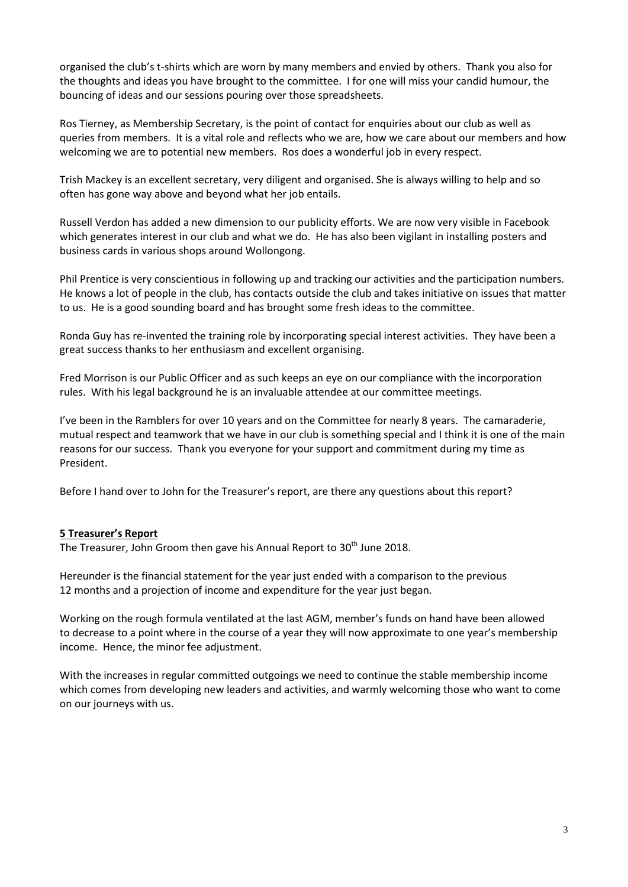organised the club's t-shirts which are worn by many members and envied by others. Thank you also for the thoughts and ideas you have brought to the committee. I for one will miss your candid humour, the bouncing of ideas and our sessions pouring over those spreadsheets.

Ros Tierney, as Membership Secretary, is the point of contact for enquiries about our club as well as queries from members. It is a vital role and reflects who we are, how we care about our members and how welcoming we are to potential new members. Ros does a wonderful job in every respect.

Trish Mackey is an excellent secretary, very diligent and organised. She is always willing to help and so often has gone way above and beyond what her job entails.

Russell Verdon has added a new dimension to our publicity efforts. We are now very visible in Facebook which generates interest in our club and what we do. He has also been vigilant in installing posters and business cards in various shops around Wollongong.

Phil Prentice is very conscientious in following up and tracking our activities and the participation numbers. He knows a lot of people in the club, has contacts outside the club and takes initiative on issues that matter to us. He is a good sounding board and has brought some fresh ideas to the committee.

Ronda Guy has re-invented the training role by incorporating special interest activities. They have been a great success thanks to her enthusiasm and excellent organising.

Fred Morrison is our Public Officer and as such keeps an eye on our compliance with the incorporation rules. With his legal background he is an invaluable attendee at our committee meetings.

I've been in the Ramblers for over 10 years and on the Committee for nearly 8 years. The camaraderie, mutual respect and teamwork that we have in our club is something special and I think it is one of the main reasons for our success. Thank you everyone for your support and commitment during my time as President.

Before I hand over to John for the Treasurer's report, are there any questions about this report?

#### **5 Treasurer's Report**

The Treasurer, John Groom then gave his Annual Report to 30<sup>th</sup> June 2018.

Hereunder is the financial statement for the year just ended with a comparison to the previous 12 months and a projection of income and expenditure for the year just began.

Working on the rough formula ventilated at the last AGM, member's funds on hand have been allowed to decrease to a point where in the course of a year they will now approximate to one year's membership income. Hence, the minor fee adjustment.

With the increases in regular committed outgoings we need to continue the stable membership income which comes from developing new leaders and activities, and warmly welcoming those who want to come on our journeys with us.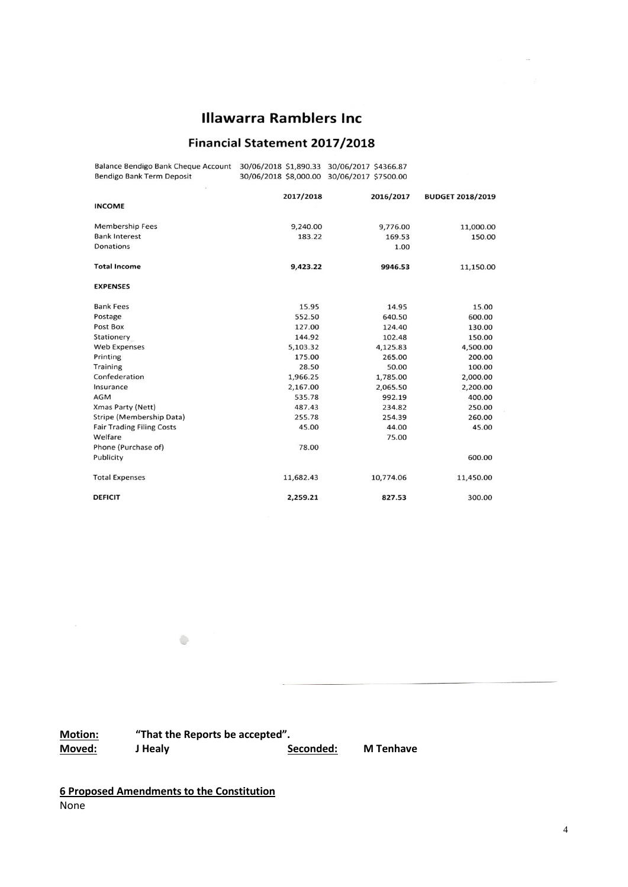# **Illawarra Ramblers Inc.**

# **Financial Statement 2017/2018**

| Balance Bendigo Bank Cheque Account 30/06/2018 \$1,890.33 30/06/2017 \$4366.87<br>Bendigo Bank Term Deposit | 30/06/2018 \$8,000.00 30/06/2017 \$7500.00 |           |                         |
|-------------------------------------------------------------------------------------------------------------|--------------------------------------------|-----------|-------------------------|
|                                                                                                             | 2017/2018                                  | 2016/2017 | <b>BUDGET 2018/2019</b> |
| <b>INCOME</b>                                                                                               |                                            |           |                         |
| <b>Membership Fees</b>                                                                                      | 9,240.00                                   | 9,776.00  | 11,000.00               |
| <b>Bank Interest</b>                                                                                        | 183.22                                     | 169.53    | 150.00                  |
| Donations                                                                                                   |                                            | 1.00      |                         |
| <b>Total Income</b>                                                                                         | 9,423.22                                   | 9946.53   | 11,150.00               |
| <b>EXPENSES</b>                                                                                             |                                            |           |                         |
| <b>Bank Fees</b>                                                                                            | 15.95                                      | 14.95     | 15.00                   |
| Postage                                                                                                     | 552.50                                     | 640.50    | 600.00                  |
| Post Box                                                                                                    | 127.00                                     | 124.40    | 130.00                  |
| Stationery                                                                                                  | 144.92                                     | 102.48    | 150.00                  |
| <b>Web Expenses</b>                                                                                         | 5,103.32                                   | 4,125.83  | 4,500.00                |
| Printing                                                                                                    | 175.00                                     | 265.00    | 200.00                  |
| Training                                                                                                    | 28.50                                      | 50.00     | 100.00                  |
| Confederation                                                                                               | 1,966.25                                   | 1,785.00  | 2,000.00                |
| Insurance                                                                                                   | 2,167.00                                   | 2,065.50  | 2,200.00                |
| <b>AGM</b>                                                                                                  | 535.78                                     | 992.19    | 400.00                  |
| Xmas Party (Nett)                                                                                           | 487.43                                     | 234.82    | 250.00                  |
| Stripe (Membership Data)                                                                                    | 255.78                                     | 254.39    | 260.00                  |
| <b>Fair Trading Filing Costs</b>                                                                            | 45.00                                      | 44.00     | 45.00                   |
| Welfare                                                                                                     |                                            | 75.00     |                         |
| Phone (Purchase of)                                                                                         | 78.00                                      |           |                         |
| Publicity                                                                                                   |                                            |           | 600.00                  |
| <b>Total Expenses</b>                                                                                       | 11,682.43                                  | 10,774.06 | 11,450.00               |
| <b>DEFICIT</b>                                                                                              | 2,259.21                                   | 827.53    | 300.00                  |

**Motion: "That the Reports be accepted".**

 $\oplus$ 

**Moved: J Healy Seconded: M Tenhave**

**6 Proposed Amendments to the Constitution** None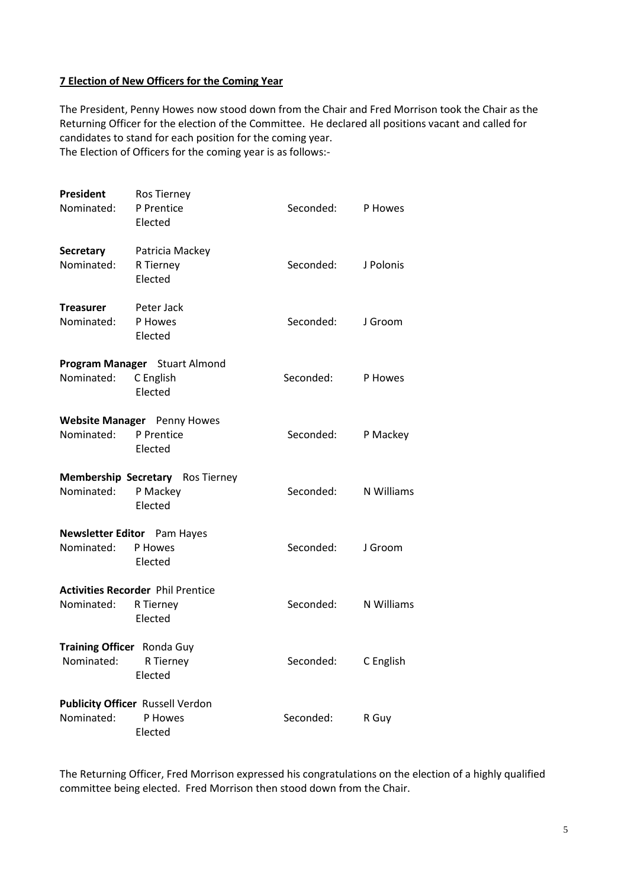#### **7 Election of New Officers for the Coming Year**

The President, Penny Howes now stood down from the Chair and Fred Morrison took the Chair as the Returning Officer for the election of the Committee. He declared all positions vacant and called for candidates to stand for each position for the coming year. The Election of Officers for the coming year is as follows:-

**President** Ros Tierney Nominated: P Prentice Seconded: P Howes Elected **Secretary** Patricia Mackey Nominated: R Tierney Seconded: J Polonis Elected **Treasurer** Peter Jack Nominated: P Howes Seconded: J Groom Elected **Program Manager** Stuart Almond Nominated: C English Seconded: P Howes Elected **Website Manager** Penny Howes Nominated: P Prentice Seconded: P Mackey Elected **Membership Secretary** Ros Tierney Nominated: P Mackey Seconded: N Williams Elected **Newsletter Editor** Pam Hayes Nominated: P Howes Seconded: J Groom Elected **Activities Recorder** Phil Prentice Nominated: R Tierney Seconded: N Williams Elected **Training Officer** Ronda Guy Nominated: R Tierney Seconded: C English Elected **Publicity Officer** Russell Verdon Nominated: P Howes Seconded: R Guy Elected

The Returning Officer, Fred Morrison expressed his congratulations on the election of a highly qualified committee being elected. Fred Morrison then stood down from the Chair.